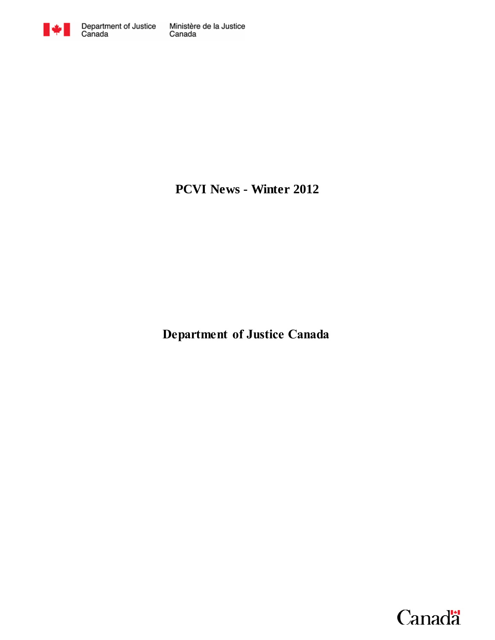

**PCVI News - Winter 2012**

**Department of Justice Canada**

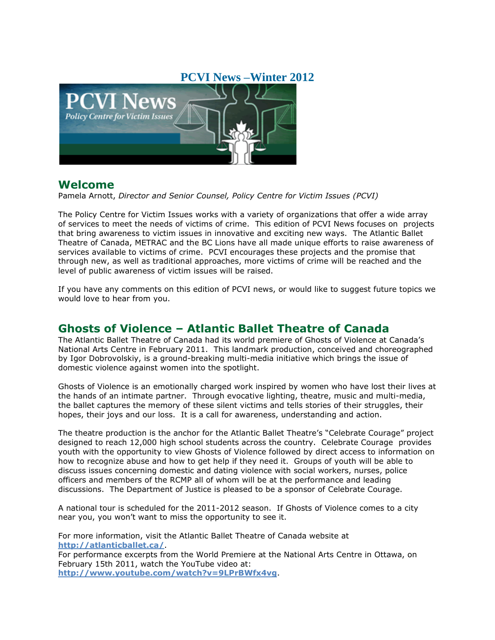### **PCVI News –Winter 2012**



#### **Welcome**

Pamela Arnott, *Director and Senior Counsel, Policy Centre for Victim Issues (PCVI)*

The Policy Centre for Victim Issues works with a variety of organizations that offer a wide array of services to meet the needs of victims of crime. This edition of PCVI News focuses on projects that bring awareness to victim issues in innovative and exciting new ways. The Atlantic Ballet Theatre of Canada, METRAC and the BC Lions have all made unique efforts to raise awareness of services available to victims of crime. PCVI encourages these projects and the promise that through new, as well as traditional approaches, more victims of crime will be reached and the level of public awareness of victim issues will be raised.

If you have any comments on this edition of PCVI news, or would like to suggest future topics we would love to hear from you.

# **Ghosts of Violence – Atlantic Ballet Theatre of Canada**

The Atlantic Ballet Theatre of Canada had its world premiere of Ghosts of Violence at Canada's National Arts Centre in February 2011. This landmark production, conceived and choreographed by Igor Dobrovolskiy, is a ground-breaking multi-media initiative which brings the issue of domestic violence against women into the spotlight.

Ghosts of Violence is an emotionally charged work inspired by women who have lost their lives at the hands of an intimate partner. Through evocative lighting, theatre, music and multi-media, the ballet captures the memory of these silent victims and tells stories of their struggles, their hopes, their joys and our loss. It is a call for awareness, understanding and action.

The theatre production is the anchor for the Atlantic Ballet Theatre's "Celebrate Courage" project designed to reach 12,000 high school students across the country. Celebrate Courage provides youth with the opportunity to view Ghosts of Violence followed by direct access to information on how to recognize abuse and how to get help if they need it. Groups of youth will be able to discuss issues concerning domestic and dating violence with social workers, nurses, police officers and members of the RCMP all of whom will be at the performance and leading discussions. The Department of Justice is pleased to be a sponsor of Celebrate Courage.

A national tour is scheduled for the 2011-2012 season. If Ghosts of Violence comes to a city near you, you won't want to miss the opportunity to see it.

For more information, visit the Atlantic Ballet Theatre of Canada website at **<http://atlanticballet.ca/>**. For performance excerpts from the World Premiere at the National Arts Centre in Ottawa, on February 15th 2011, watch the YouTube video at:

**<http://www.youtube.com/watch?v=9LPrBWfx4vg>**.